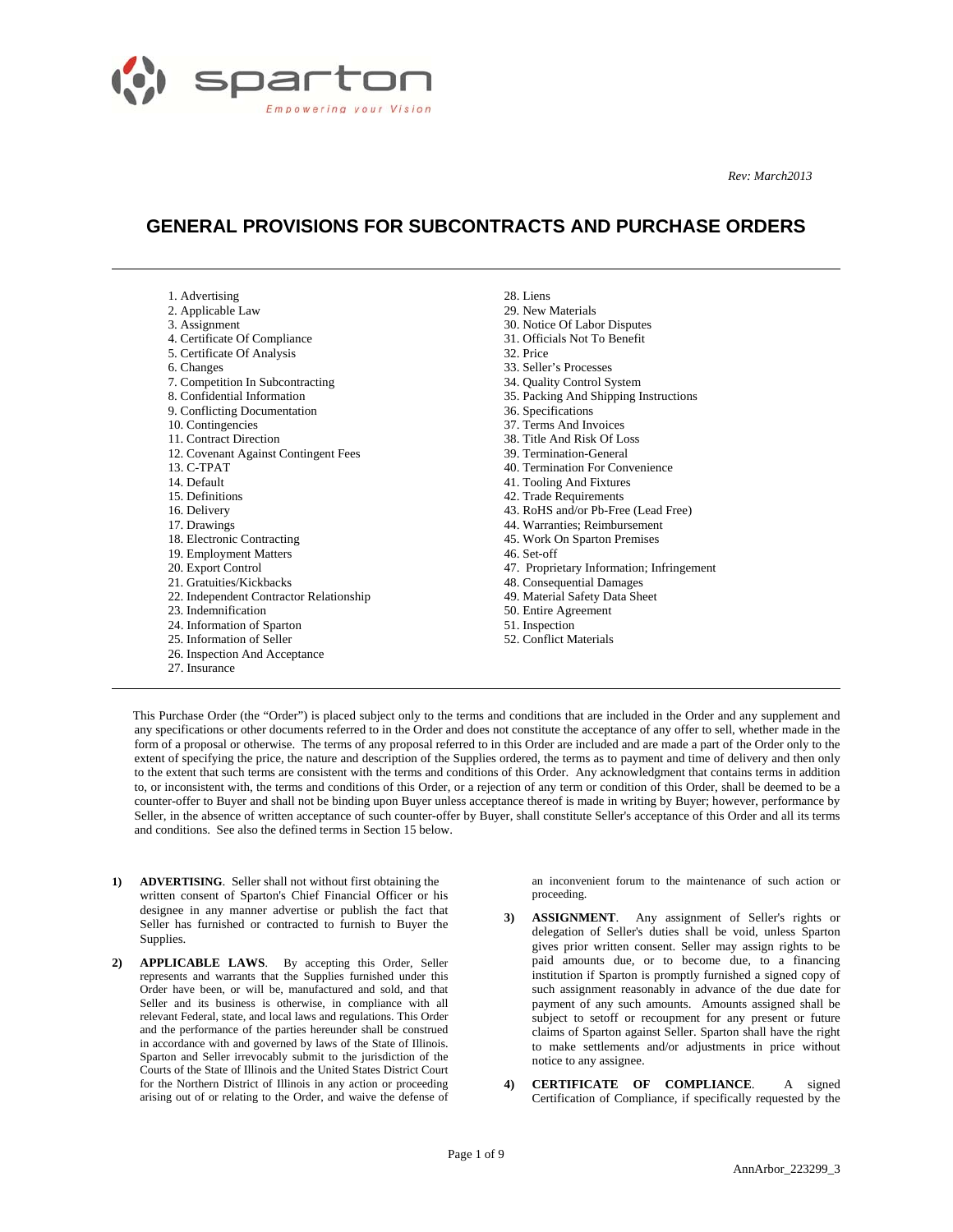

 $\overline{a}$ 

 $\overline{a}$ 

 *Rev: March2013* 

# **GENERAL PROVISIONS FOR SUBCONTRACTS AND PURCHASE ORDERS**

| 1. Advertising                          | 28. Liens                                 |
|-----------------------------------------|-------------------------------------------|
| 2. Applicable Law                       | 29. New Materials                         |
| 3. Assignment                           | 30. Notice Of Labor Disputes              |
| 4. Certificate Of Compliance            | 31. Officials Not To Benefit              |
| 5. Certificate Of Analysis              | 32 Price                                  |
| 6. Changes                              | 33. Seller's Processes                    |
| 7. Competition In Subcontracting        | 34. Quality Control System                |
| 8. Confidential Information             | 35. Packing And Shipping Instructions     |
| 9. Conflicting Documentation            | 36. Specifications                        |
| 10. Contingencies                       | 37. Terms And Invoices                    |
| 11. Contract Direction                  | 38. Title And Risk Of Loss                |
| 12. Covenant Against Contingent Fees    | 39. Termination-General                   |
| 13. C-TPAT                              | 40. Termination For Convenience           |
| 14. Default                             | 41. Tooling And Fixtures                  |
| 15. Definitions                         | 42. Trade Requirements                    |
| 16. Delivery                            | 43. RoHS and/or Pb-Free (Lead Free)       |
| 17. Drawings                            | 44. Warranties: Reimbursement             |
| 18. Electronic Contracting              | 45. Work On Sparton Premises              |
| 19. Employment Matters                  | 46. Set-off                               |
| 20. Export Control                      | 47. Proprietary Information; Infringement |
| 21. Gratuities/Kickbacks                | 48. Consequential Damages                 |
| 22. Independent Contractor Relationship | 49. Material Safety Data Sheet            |
| 23. Indemnification                     | 50. Entire Agreement                      |
| 24. Information of Sparton              | 51. Inspection                            |
| 25. Information of Seller               | 52. Conflict Materials                    |
| 26. Inspection And Acceptance           |                                           |
| 27. Insurance                           |                                           |

This Purchase Order (the "Order") is placed subject only to the terms and conditions that are included in the Order and any supplement and any specifications or other documents referred to in the Order and does not constitute the acceptance of any offer to sell, whether made in the form of a proposal or otherwise. The terms of any proposal referred to in this Order are included and are made a part of the Order only to the extent of specifying the price, the nature and description of the Supplies ordered, the terms as to payment and time of delivery and then only to the extent that such terms are consistent with the terms and conditions of this Order. Any acknowledgment that contains terms in addition to, or inconsistent with, the terms and conditions of this Order, or a rejection of any term or condition of this Order, shall be deemed to be a counter-offer to Buyer and shall not be binding upon Buyer unless acceptance thereof is made in writing by Buyer; however, performance by Seller, in the absence of written acceptance of such counter-offer by Buyer, shall constitute Seller's acceptance of this Order and all its terms and conditions. See also the defined terms in Section 15 below.

- **1) ADVERTISING**. Seller shall not without first obtaining the written consent of Sparton's Chief Financial Officer or his designee in any manner advertise or publish the fact that Seller has furnished or contracted to furnish to Buyer the Supplies.
- **2) APPLICABLE LAWS**. By accepting this Order, Seller represents and warrants that the Supplies furnished under this Order have been, or will be, manufactured and sold, and that Seller and its business is otherwise, in compliance with all relevant Federal, state, and local laws and regulations. This Order and the performance of the parties hereunder shall be construed in accordance with and governed by laws of the State of Illinois. Sparton and Seller irrevocably submit to the jurisdiction of the Courts of the State of Illinois and the United States District Court for the Northern District of Illinois in any action or proceeding arising out of or relating to the Order, and waive the defense of

an inconvenient forum to the maintenance of such action or proceeding.

- **3) ASSIGNMENT**. Any assignment of Seller's rights or delegation of Seller's duties shall be void, unless Sparton gives prior written consent. Seller may assign rights to be paid amounts due, or to become due, to a financing institution if Sparton is promptly furnished a signed copy of such assignment reasonably in advance of the due date for payment of any such amounts. Amounts assigned shall be subject to setoff or recoupment for any present or future claims of Sparton against Seller. Sparton shall have the right to make settlements and/or adjustments in price without notice to any assignee.
- **4) CERTIFICATE OF COMPLIANCE**. A signed Certification of Compliance, if specifically requested by the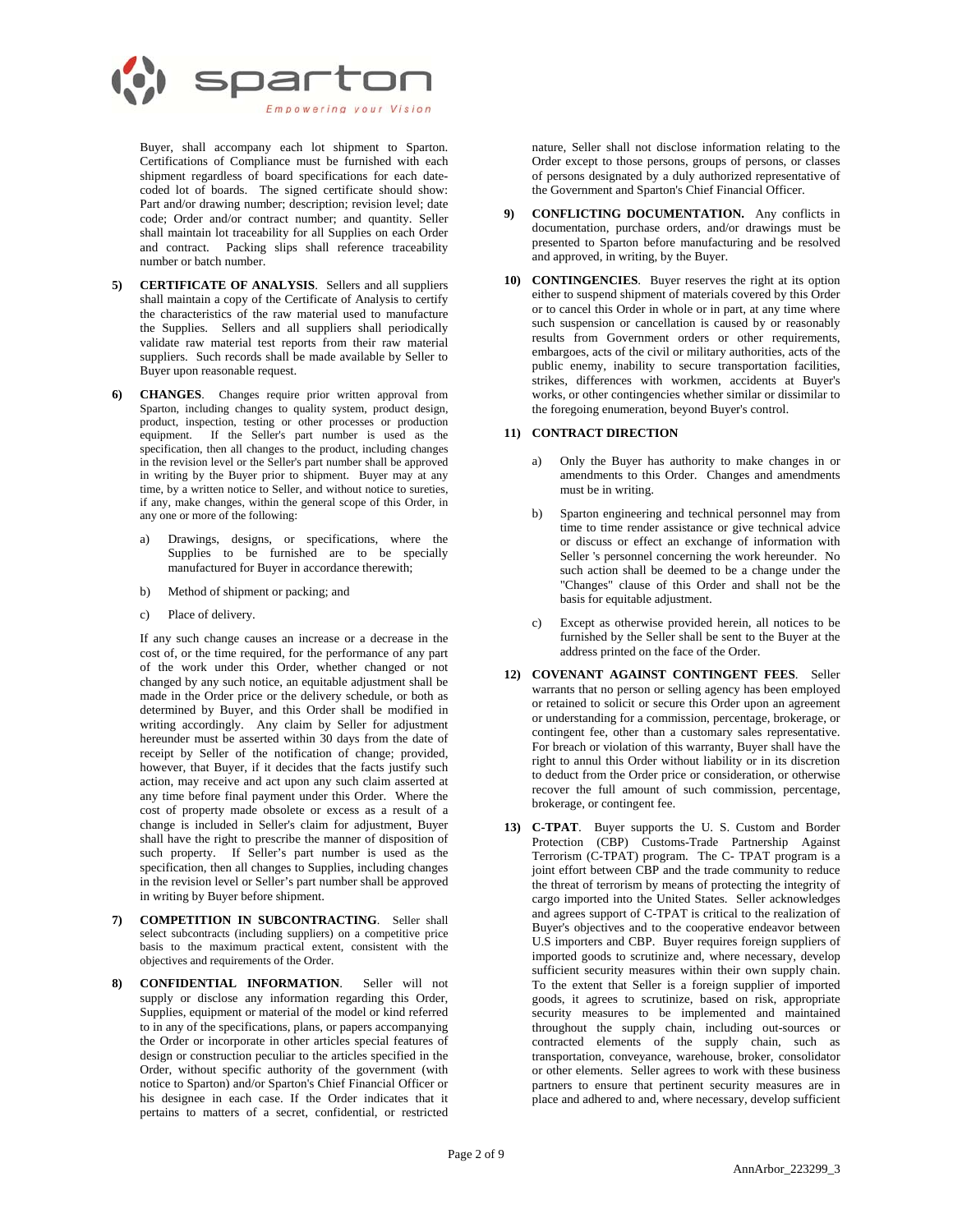

Buyer, shall accompany each lot shipment to Sparton. Certifications of Compliance must be furnished with each shipment regardless of board specifications for each datecoded lot of boards. The signed certificate should show: Part and/or drawing number; description; revision level; date code; Order and/or contract number; and quantity. Seller shall maintain lot traceability for all Supplies on each Order and contract. Packing slips shall reference traceability number or batch number.

- **5) CERTIFICATE OF ANALYSIS**. Sellers and all suppliers shall maintain a copy of the Certificate of Analysis to certify the characteristics of the raw material used to manufacture the Supplies. Sellers and all suppliers shall periodically validate raw material test reports from their raw material suppliers. Such records shall be made available by Seller to Buyer upon reasonable request.
- **6) CHANGES**. Changes require prior written approval from Sparton, including changes to quality system, product design, product, inspection, testing or other processes or production equipment. If the Seller's part number is used as the specification, then all changes to the product, including changes in the revision level or the Seller's part number shall be approved in writing by the Buyer prior to shipment. Buyer may at any time, by a written notice to Seller, and without notice to sureties, if any, make changes, within the general scope of this Order, in any one or more of the following:
	- a) Drawings, designs, or specifications, where the Supplies to be furnished are to be specially manufactured for Buyer in accordance therewith;
	- b) Method of shipment or packing; and
	- c) Place of delivery.

If any such change causes an increase or a decrease in the cost of, or the time required, for the performance of any part of the work under this Order, whether changed or not changed by any such notice, an equitable adjustment shall be made in the Order price or the delivery schedule, or both as determined by Buyer, and this Order shall be modified in writing accordingly. Any claim by Seller for adjustment hereunder must be asserted within 30 days from the date of receipt by Seller of the notification of change; provided, however, that Buyer, if it decides that the facts justify such action, may receive and act upon any such claim asserted at any time before final payment under this Order. Where the cost of property made obsolete or excess as a result of a change is included in Seller's claim for adjustment, Buyer shall have the right to prescribe the manner of disposition of such property. If Seller's part number is used as the specification, then all changes to Supplies, including changes in the revision level or Seller's part number shall be approved in writing by Buyer before shipment.

- **7) COMPETITION IN SUBCONTRACTING**. Seller shall select subcontracts (including suppliers) on a competitive price basis to the maximum practical extent, consistent with the objectives and requirements of the Order.
- **8) CONFIDENTIAL INFORMATION**. Seller will not supply or disclose any information regarding this Order, Supplies, equipment or material of the model or kind referred to in any of the specifications, plans, or papers accompanying the Order or incorporate in other articles special features of design or construction peculiar to the articles specified in the Order, without specific authority of the government (with notice to Sparton) and/or Sparton's Chief Financial Officer or his designee in each case. If the Order indicates that it pertains to matters of a secret, confidential, or restricted

nature, Seller shall not disclose information relating to the Order except to those persons, groups of persons, or classes of persons designated by a duly authorized representative of the Government and Sparton's Chief Financial Officer.

- **9) CONFLICTING DOCUMENTATION.** Any conflicts in documentation, purchase orders, and/or drawings must be presented to Sparton before manufacturing and be resolved and approved, in writing, by the Buyer.
- **10) CONTINGENCIES**. Buyer reserves the right at its option either to suspend shipment of materials covered by this Order or to cancel this Order in whole or in part, at any time where such suspension or cancellation is caused by or reasonably results from Government orders or other requirements, embargoes, acts of the civil or military authorities, acts of the public enemy, inability to secure transportation facilities, strikes, differences with workmen, accidents at Buyer's works, or other contingencies whether similar or dissimilar to the foregoing enumeration, beyond Buyer's control.

### **11) CONTRACT DIRECTION**

- a) Only the Buyer has authority to make changes in or amendments to this Order. Changes and amendments must be in writing.
- b) Sparton engineering and technical personnel may from time to time render assistance or give technical advice or discuss or effect an exchange of information with Seller 's personnel concerning the work hereunder. No such action shall be deemed to be a change under the "Changes" clause of this Order and shall not be the basis for equitable adjustment.
- c) Except as otherwise provided herein, all notices to be furnished by the Seller shall be sent to the Buyer at the address printed on the face of the Order.
- **12) COVENANT AGAINST CONTINGENT FEES**. Seller warrants that no person or selling agency has been employed or retained to solicit or secure this Order upon an agreement or understanding for a commission, percentage, brokerage, or contingent fee, other than a customary sales representative. For breach or violation of this warranty, Buyer shall have the right to annul this Order without liability or in its discretion to deduct from the Order price or consideration, or otherwise recover the full amount of such commission, percentage, brokerage, or contingent fee.
- **13) C-TPAT**. Buyer supports the U. S. Custom and Border Protection (CBP) Customs-Trade Partnership Against Terrorism (C-TPAT) program. The C- TPAT program is a joint effort between CBP and the trade community to reduce the threat of terrorism by means of protecting the integrity of cargo imported into the United States. Seller acknowledges and agrees support of C-TPAT is critical to the realization of Buyer's objectives and to the cooperative endeavor between U.S importers and CBP. Buyer requires foreign suppliers of imported goods to scrutinize and, where necessary, develop sufficient security measures within their own supply chain. To the extent that Seller is a foreign supplier of imported goods, it agrees to scrutinize, based on risk, appropriate security measures to be implemented and maintained throughout the supply chain, including out-sources or contracted elements of the supply chain, such as transportation, conveyance, warehouse, broker, consolidator or other elements. Seller agrees to work with these business partners to ensure that pertinent security measures are in place and adhered to and, where necessary, develop sufficient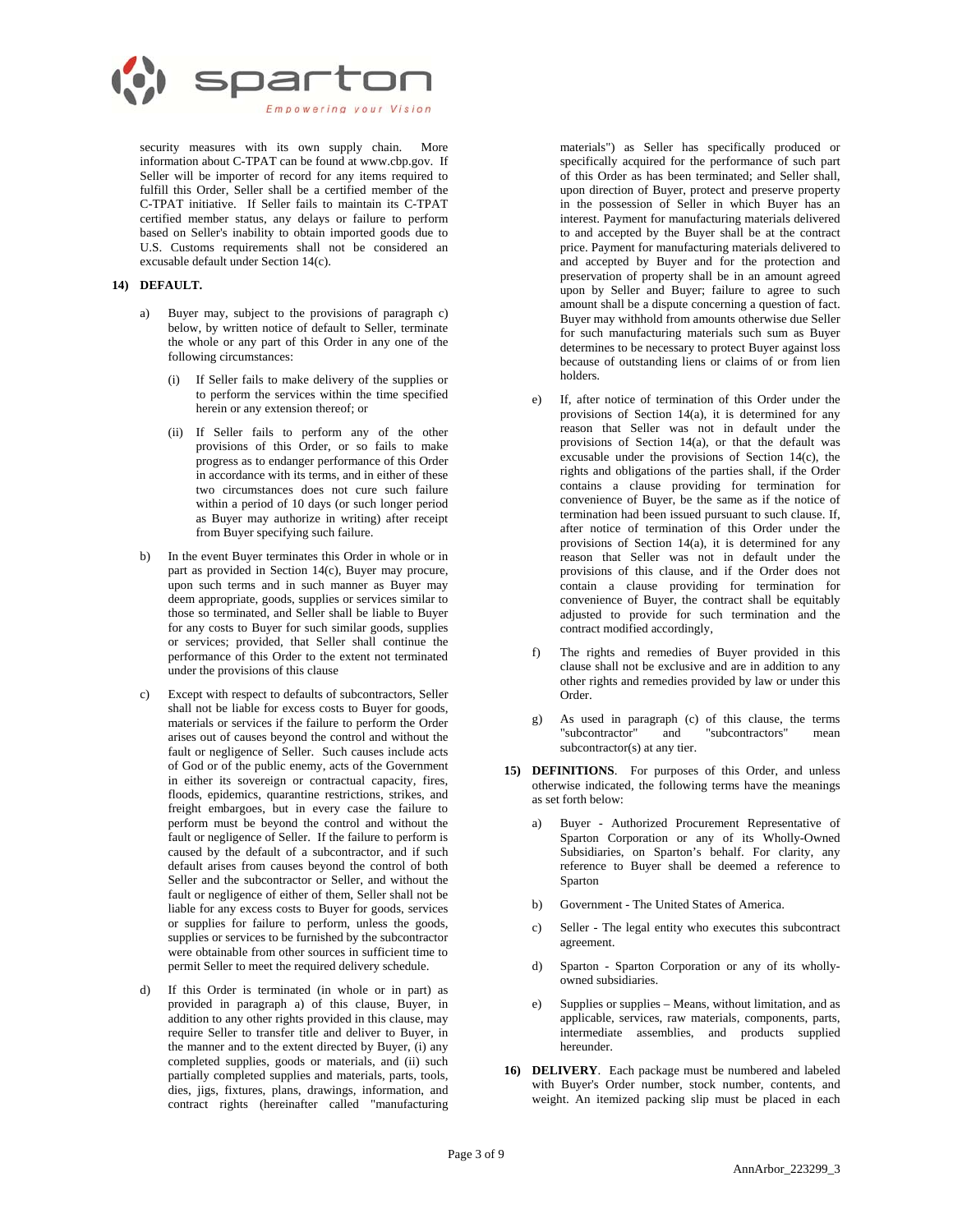

security measures with its own supply chain. More information about C-TPAT can be found at www.cbp.gov. If Seller will be importer of record for any items required to fulfill this Order, Seller shall be a certified member of the C-TPAT initiative. If Seller fails to maintain its C-TPAT certified member status, any delays or failure to perform based on Seller's inability to obtain imported goods due to U.S. Customs requirements shall not be considered an excusable default under Section 14(c).

## **14) DEFAULT.**

- a) Buyer may, subject to the provisions of paragraph c) below, by written notice of default to Seller, terminate the whole or any part of this Order in any one of the following circumstances:
	- (i) If Seller fails to make delivery of the supplies or to perform the services within the time specified herein or any extension thereof; or
	- (ii) If Seller fails to perform any of the other provisions of this Order, or so fails to make progress as to endanger performance of this Order in accordance with its terms, and in either of these two circumstances does not cure such failure within a period of 10 days (or such longer period as Buyer may authorize in writing) after receipt from Buyer specifying such failure.
- b) In the event Buyer terminates this Order in whole or in part as provided in Section 14(c), Buyer may procure, upon such terms and in such manner as Buyer may deem appropriate, goods, supplies or services similar to those so terminated, and Seller shall be liable to Buyer for any costs to Buyer for such similar goods, supplies or services; provided, that Seller shall continue the performance of this Order to the extent not terminated under the provisions of this clause
- c) Except with respect to defaults of subcontractors, Seller shall not be liable for excess costs to Buyer for goods, materials or services if the failure to perform the Order arises out of causes beyond the control and without the fault or negligence of Seller. Such causes include acts of God or of the public enemy, acts of the Government in either its sovereign or contractual capacity, fires, floods, epidemics, quarantine restrictions, strikes, and freight embargoes, but in every case the failure to perform must be beyond the control and without the fault or negligence of Seller. If the failure to perform is caused by the default of a subcontractor, and if such default arises from causes beyond the control of both Seller and the subcontractor or Seller, and without the fault or negligence of either of them, Seller shall not be liable for any excess costs to Buyer for goods, services or supplies for failure to perform, unless the goods, supplies or services to be furnished by the subcontractor were obtainable from other sources in sufficient time to permit Seller to meet the required delivery schedule.
- d) If this Order is terminated (in whole or in part) as provided in paragraph a) of this clause, Buyer, in addition to any other rights provided in this clause, may require Seller to transfer title and deliver to Buyer, in the manner and to the extent directed by Buyer, (i) any completed supplies, goods or materials, and (ii) such partially completed supplies and materials, parts, tools, dies, jigs, fixtures, plans, drawings, information, and contract rights (hereinafter called "manufacturing

materials") as Seller has specifically produced or specifically acquired for the performance of such part of this Order as has been terminated; and Seller shall, upon direction of Buyer, protect and preserve property in the possession of Seller in which Buyer has an interest. Payment for manufacturing materials delivered to and accepted by the Buyer shall be at the contract price. Payment for manufacturing materials delivered to and accepted by Buyer and for the protection and preservation of property shall be in an amount agreed upon by Seller and Buyer; failure to agree to such amount shall be a dispute concerning a question of fact. Buyer may withhold from amounts otherwise due Seller for such manufacturing materials such sum as Buyer determines to be necessary to protect Buyer against loss because of outstanding liens or claims of or from lien holders.

- e) If, after notice of termination of this Order under the provisions of Section 14(a), it is determined for any reason that Seller was not in default under the provisions of Section 14(a), or that the default was excusable under the provisions of Section 14(c), the rights and obligations of the parties shall, if the Order contains a clause providing for termination for convenience of Buyer, be the same as if the notice of termination had been issued pursuant to such clause. If, after notice of termination of this Order under the provisions of Section 14(a), it is determined for any reason that Seller was not in default under the provisions of this clause, and if the Order does not contain a clause providing for termination for convenience of Buyer, the contract shall be equitably adjusted to provide for such termination and the contract modified accordingly,
- The rights and remedies of Buyer provided in this clause shall not be exclusive and are in addition to any other rights and remedies provided by law or under this Order.
- g) As used in paragraph (c) of this clause, the terms "subcontractor" and "subcontractors" mean subcontractor(s) at any tier.
- **15) DEFINITIONS**. For purposes of this Order, and unless otherwise indicated, the following terms have the meanings as set forth below:
	- a) Buyer Authorized Procurement Representative of Sparton Corporation or any of its Wholly-Owned Subsidiaries, on Sparton's behalf. For clarity, any reference to Buyer shall be deemed a reference to Sparton
	- b) Government The United States of America.
	- c) Seller The legal entity who executes this subcontract agreement.
	- d) Sparton Sparton Corporation or any of its whollyowned subsidiaries.
	- e) Supplies or supplies Means, without limitation, and as applicable, services, raw materials, components, parts, intermediate assemblies, and products supplied hereunder.
- **16) DELIVERY**. Each package must be numbered and labeled with Buyer's Order number, stock number, contents, and weight. An itemized packing slip must be placed in each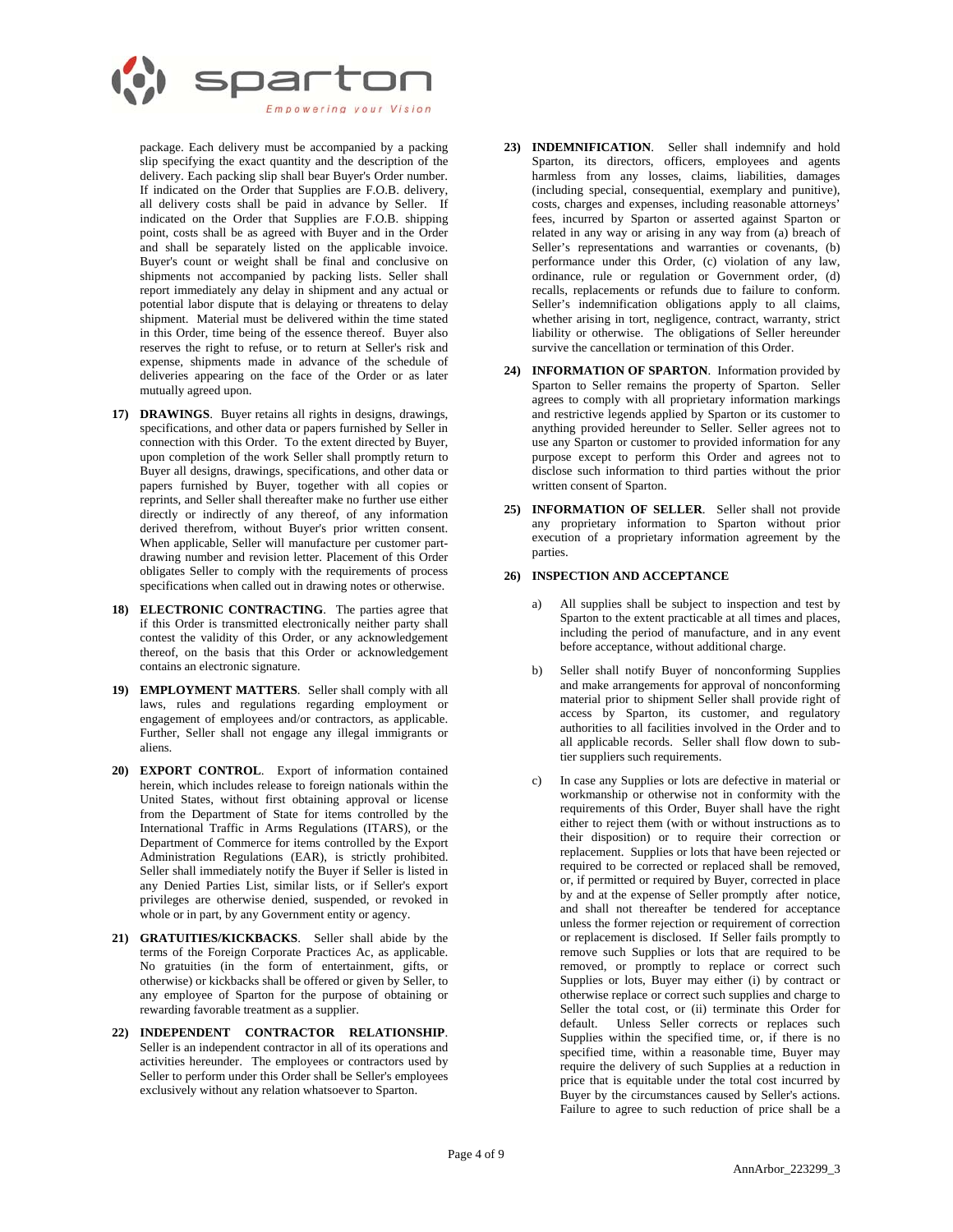

package. Each delivery must be accompanied by a packing slip specifying the exact quantity and the description of the delivery. Each packing slip shall bear Buyer's Order number. If indicated on the Order that Supplies are F.O.B. delivery, all delivery costs shall be paid in advance by Seller. If indicated on the Order that Supplies are F.O.B. shipping point, costs shall be as agreed with Buyer and in the Order and shall be separately listed on the applicable invoice. Buyer's count or weight shall be final and conclusive on shipments not accompanied by packing lists. Seller shall report immediately any delay in shipment and any actual or potential labor dispute that is delaying or threatens to delay shipment. Material must be delivered within the time stated in this Order, time being of the essence thereof. Buyer also reserves the right to refuse, or to return at Seller's risk and expense, shipments made in advance of the schedule of deliveries appearing on the face of the Order or as later mutually agreed upon.

- **17) DRAWINGS**. Buyer retains all rights in designs, drawings, specifications, and other data or papers furnished by Seller in connection with this Order. To the extent directed by Buyer, upon completion of the work Seller shall promptly return to Buyer all designs, drawings, specifications, and other data or papers furnished by Buyer, together with all copies or reprints, and Seller shall thereafter make no further use either directly or indirectly of any thereof, of any information derived therefrom, without Buyer's prior written consent. When applicable, Seller will manufacture per customer partdrawing number and revision letter. Placement of this Order obligates Seller to comply with the requirements of process specifications when called out in drawing notes or otherwise.
- **18) ELECTRONIC CONTRACTING**. The parties agree that if this Order is transmitted electronically neither party shall contest the validity of this Order, or any acknowledgement thereof, on the basis that this Order or acknowledgement contains an electronic signature.
- **19) EMPLOYMENT MATTERS**. Seller shall comply with all laws, rules and regulations regarding employment or engagement of employees and/or contractors, as applicable. Further, Seller shall not engage any illegal immigrants or aliens.
- **20) EXPORT CONTROL**. Export of information contained herein, which includes release to foreign nationals within the United States, without first obtaining approval or license from the Department of State for items controlled by the International Traffic in Arms Regulations (ITARS), or the Department of Commerce for items controlled by the Export Administration Regulations (EAR), is strictly prohibited. Seller shall immediately notify the Buyer if Seller is listed in any Denied Parties List, similar lists, or if Seller's export privileges are otherwise denied, suspended, or revoked in whole or in part, by any Government entity or agency.
- **21) GRATUITIES/KICKBACKS**. Seller shall abide by the terms of the Foreign Corporate Practices Ac, as applicable. No gratuities (in the form of entertainment, gifts, or otherwise) or kickbacks shall be offered or given by Seller, to any employee of Sparton for the purpose of obtaining or rewarding favorable treatment as a supplier.
- **22) INDEPENDENT CONTRACTOR RELATIONSHIP**. Seller is an independent contractor in all of its operations and activities hereunder. The employees or contractors used by Seller to perform under this Order shall be Seller's employees exclusively without any relation whatsoever to Sparton.
- **23) INDEMNIFICATION**. Seller shall indemnify and hold Sparton, its directors, officers, employees and agents harmless from any losses, claims, liabilities, damages (including special, consequential, exemplary and punitive), costs, charges and expenses, including reasonable attorneys' fees, incurred by Sparton or asserted against Sparton or related in any way or arising in any way from (a) breach of Seller's representations and warranties or covenants, (b) performance under this Order, (c) violation of any law, ordinance, rule or regulation or Government order, (d) recalls, replacements or refunds due to failure to conform. Seller's indemnification obligations apply to all claims, whether arising in tort, negligence, contract, warranty, strict liability or otherwise. The obligations of Seller hereunder survive the cancellation or termination of this Order.
- **24) INFORMATION OF SPARTON**. Information provided by Sparton to Seller remains the property of Sparton. Seller agrees to comply with all proprietary information markings and restrictive legends applied by Sparton or its customer to anything provided hereunder to Seller. Seller agrees not to use any Sparton or customer to provided information for any purpose except to perform this Order and agrees not to disclose such information to third parties without the prior written consent of Sparton.
- **25) INFORMATION OF SELLER**. Seller shall not provide any proprietary information to Sparton without prior execution of a proprietary information agreement by the parties.

# **26) INSPECTION AND ACCEPTANCE**

- All supplies shall be subject to inspection and test by Sparton to the extent practicable at all times and places, including the period of manufacture, and in any event before acceptance, without additional charge.
- Seller shall notify Buyer of nonconforming Supplies and make arrangements for approval of nonconforming material prior to shipment Seller shall provide right of access by Sparton, its customer, and regulatory authorities to all facilities involved in the Order and to all applicable records. Seller shall flow down to subtier suppliers such requirements.
- In case any Supplies or lots are defective in material or workmanship or otherwise not in conformity with the requirements of this Order, Buyer shall have the right either to reject them (with or without instructions as to their disposition) or to require their correction or replacement. Supplies or lots that have been rejected or required to be corrected or replaced shall be removed, or, if permitted or required by Buyer, corrected in place by and at the expense of Seller promptly after notice, and shall not thereafter be tendered for acceptance unless the former rejection or requirement of correction or replacement is disclosed. If Seller fails promptly to remove such Supplies or lots that are required to be removed, or promptly to replace or correct such Supplies or lots, Buyer may either (i) by contract or otherwise replace or correct such supplies and charge to Seller the total cost, or (ii) terminate this Order for default. Unless Seller corrects or replaces such Supplies within the specified time, or, if there is no specified time, within a reasonable time, Buyer may require the delivery of such Supplies at a reduction in price that is equitable under the total cost incurred by Buyer by the circumstances caused by Seller's actions. Failure to agree to such reduction of price shall be a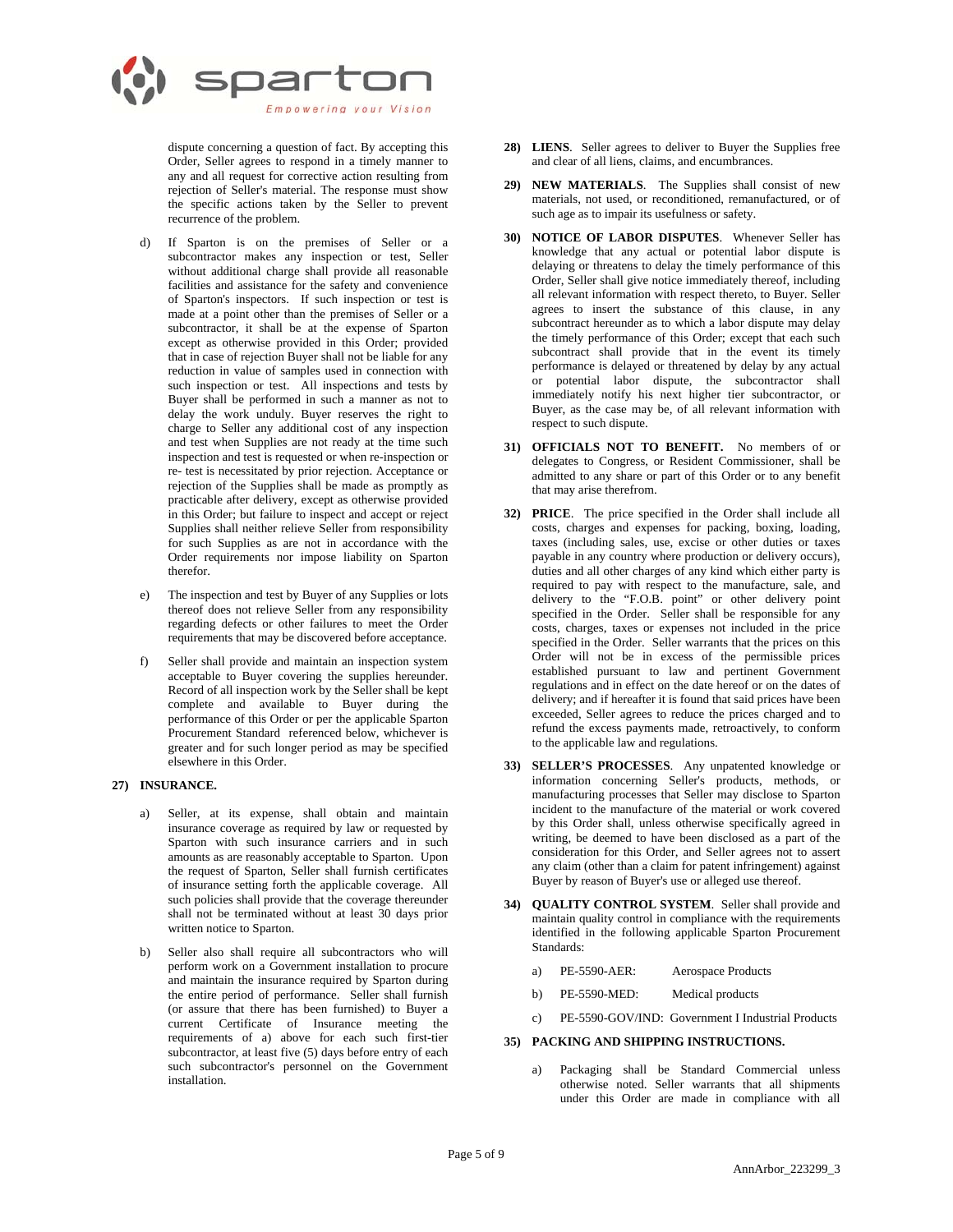

dispute concerning a question of fact. By accepting this Order, Seller agrees to respond in a timely manner to any and all request for corrective action resulting from rejection of Seller's material. The response must show the specific actions taken by the Seller to prevent recurrence of the problem.

- If Sparton is on the premises of Seller or a subcontractor makes any inspection or test, Seller without additional charge shall provide all reasonable facilities and assistance for the safety and convenience of Sparton's inspectors. If such inspection or test is made at a point other than the premises of Seller or a subcontractor, it shall be at the expense of Sparton except as otherwise provided in this Order; provided that in case of rejection Buyer shall not be liable for any reduction in value of samples used in connection with such inspection or test. All inspections and tests by Buyer shall be performed in such a manner as not to delay the work unduly. Buyer reserves the right to charge to Seller any additional cost of any inspection and test when Supplies are not ready at the time such inspection and test is requested or when re-inspection or re- test is necessitated by prior rejection. Acceptance or rejection of the Supplies shall be made as promptly as practicable after delivery, except as otherwise provided in this Order; but failure to inspect and accept or reject Supplies shall neither relieve Seller from responsibility for such Supplies as are not in accordance with the Order requirements nor impose liability on Sparton therefor.
- e) The inspection and test by Buyer of any Supplies or lots thereof does not relieve Seller from any responsibility regarding defects or other failures to meet the Order requirements that may be discovered before acceptance.
- f) Seller shall provide and maintain an inspection system acceptable to Buyer covering the supplies hereunder. Record of all inspection work by the Seller shall be kept complete and available to Buyer during the performance of this Order or per the applicable Sparton Procurement Standard referenced below, whichever is greater and for such longer period as may be specified elsewhere in this Order.

## **27) INSURANCE.**

- a) Seller, at its expense, shall obtain and maintain insurance coverage as required by law or requested by Sparton with such insurance carriers and in such amounts as are reasonably acceptable to Sparton. Upon the request of Sparton, Seller shall furnish certificates of insurance setting forth the applicable coverage. All such policies shall provide that the coverage thereunder shall not be terminated without at least 30 days prior written notice to Sparton.
- b) Seller also shall require all subcontractors who will perform work on a Government installation to procure and maintain the insurance required by Sparton during the entire period of performance. Seller shall furnish (or assure that there has been furnished) to Buyer a current Certificate of Insurance meeting the requirements of a) above for each such first-tier subcontractor, at least five (5) days before entry of each such subcontractor's personnel on the Government installation.
- **28) LIENS**. Seller agrees to deliver to Buyer the Supplies free and clear of all liens, claims, and encumbrances.
- **29) NEW MATERIALS**. The Supplies shall consist of new materials, not used, or reconditioned, remanufactured, or of such age as to impair its usefulness or safety.
- **30) NOTICE OF LABOR DISPUTES**. Whenever Seller has knowledge that any actual or potential labor dispute is delaying or threatens to delay the timely performance of this Order, Seller shall give notice immediately thereof, including all relevant information with respect thereto, to Buyer. Seller agrees to insert the substance of this clause, in any subcontract hereunder as to which a labor dispute may delay the timely performance of this Order; except that each such subcontract shall provide that in the event its timely performance is delayed or threatened by delay by any actual or potential labor dispute, the subcontractor shall immediately notify his next higher tier subcontractor, or Buyer, as the case may be, of all relevant information with respect to such dispute.
- **31) OFFICIALS NOT TO BENEFIT.** No members of or delegates to Congress, or Resident Commissioner, shall be admitted to any share or part of this Order or to any benefit that may arise therefrom.
- **32) PRICE**. The price specified in the Order shall include all costs, charges and expenses for packing, boxing, loading, taxes (including sales, use, excise or other duties or taxes payable in any country where production or delivery occurs), duties and all other charges of any kind which either party is required to pay with respect to the manufacture, sale, and delivery to the "F.O.B. point" or other delivery point specified in the Order. Seller shall be responsible for any costs, charges, taxes or expenses not included in the price specified in the Order. Seller warrants that the prices on this Order will not be in excess of the permissible prices established pursuant to law and pertinent Government regulations and in effect on the date hereof or on the dates of delivery; and if hereafter it is found that said prices have been exceeded, Seller agrees to reduce the prices charged and to refund the excess payments made, retroactively, to conform to the applicable law and regulations.
- **33) SELLER'S PROCESSES**. Any unpatented knowledge or information concerning Seller's products, methods, or manufacturing processes that Seller may disclose to Sparton incident to the manufacture of the material or work covered by this Order shall, unless otherwise specifically agreed in writing, be deemed to have been disclosed as a part of the consideration for this Order, and Seller agrees not to assert any claim (other than a claim for patent infringement) against Buyer by reason of Buyer's use or alleged use thereof.
- **34) QUALITY CONTROL SYSTEM**. Seller shall provide and maintain quality control in compliance with the requirements identified in the following applicable Sparton Procurement Standards:
	- a) PE-5590-AER: Aerospace Products
	- b) PE-5590-MED: Medical products
	- c) PE-5590-GOV/IND: Government I Industrial Products

### **35) PACKING AND SHIPPING INSTRUCTIONS.**

a) Packaging shall be Standard Commercial unless otherwise noted. Seller warrants that all shipments under this Order are made in compliance with all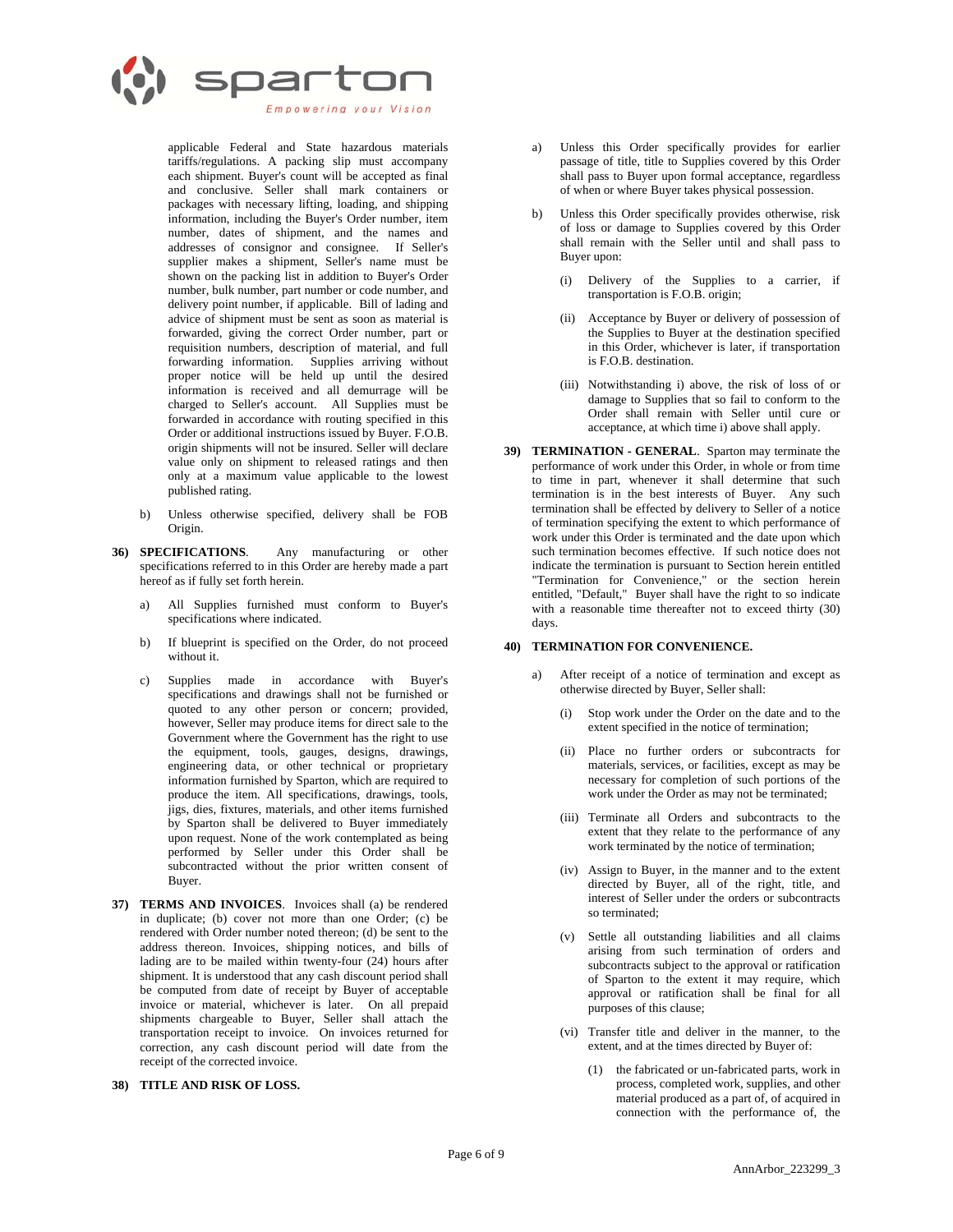

applicable Federal and State hazardous materials tariffs/regulations. A packing slip must accompany each shipment. Buyer's count will be accepted as final and conclusive. Seller shall mark containers or packages with necessary lifting, loading, and shipping information, including the Buyer's Order number, item number, dates of shipment, and the names and addresses of consignor and consignee. If Seller's supplier makes a shipment, Seller's name must be shown on the packing list in addition to Buyer's Order number, bulk number, part number or code number, and delivery point number, if applicable. Bill of lading and advice of shipment must be sent as soon as material is forwarded, giving the correct Order number, part or requisition numbers, description of material, and full forwarding information. Supplies arriving without proper notice will be held up until the desired information is received and all demurrage will be charged to Seller's account. All Supplies must be forwarded in accordance with routing specified in this Order or additional instructions issued by Buyer. F.O.B. origin shipments will not be insured. Seller will declare value only on shipment to released ratings and then only at a maximum value applicable to the lowest published rating.

- b) Unless otherwise specified, delivery shall be FOB Origin.
- **36) SPECIFICATIONS**. Any manufacturing or other specifications referred to in this Order are hereby made a part hereof as if fully set forth herein.
	- a) All Supplies furnished must conform to Buyer's specifications where indicated.
	- b) If blueprint is specified on the Order, do not proceed without it.
	- c) Supplies made in accordance with Buyer's specifications and drawings shall not be furnished or quoted to any other person or concern; provided, however, Seller may produce items for direct sale to the Government where the Government has the right to use the equipment, tools, gauges, designs, drawings, engineering data, or other technical or proprietary information furnished by Sparton, which are required to produce the item. All specifications, drawings, tools, jigs, dies, fixtures, materials, and other items furnished by Sparton shall be delivered to Buyer immediately upon request. None of the work contemplated as being performed by Seller under this Order shall be subcontracted without the prior written consent of Buyer.
- **37) TERMS AND INVOICES**. Invoices shall (a) be rendered in duplicate; (b) cover not more than one Order; (c) be rendered with Order number noted thereon; (d) be sent to the address thereon. Invoices, shipping notices, and bills of lading are to be mailed within twenty-four (24) hours after shipment. It is understood that any cash discount period shall be computed from date of receipt by Buyer of acceptable invoice or material, whichever is later. On all prepaid shipments chargeable to Buyer, Seller shall attach the transportation receipt to invoice. On invoices returned for correction, any cash discount period will date from the receipt of the corrected invoice.

# **38) TITLE AND RISK OF LOSS.**

- a) Unless this Order specifically provides for earlier passage of title, title to Supplies covered by this Order shall pass to Buyer upon formal acceptance, regardless of when or where Buyer takes physical possession.
- b) Unless this Order specifically provides otherwise, risk of loss or damage to Supplies covered by this Order shall remain with the Seller until and shall pass to Buyer upon:
	- (i) Delivery of the Supplies to a carrier, if transportation is F.O.B. origin;
	- (ii) Acceptance by Buyer or delivery of possession of the Supplies to Buyer at the destination specified in this Order, whichever is later, if transportation is F.O.B. destination.
	- (iii) Notwithstanding i) above, the risk of loss of or damage to Supplies that so fail to conform to the Order shall remain with Seller until cure or acceptance, at which time i) above shall apply.
- **39) TERMINATION GENERAL**. Sparton may terminate the performance of work under this Order, in whole or from time to time in part, whenever it shall determine that such termination is in the best interests of Buyer. Any such termination shall be effected by delivery to Seller of a notice of termination specifying the extent to which performance of work under this Order is terminated and the date upon which such termination becomes effective. If such notice does not indicate the termination is pursuant to Section herein entitled "Termination for Convenience," or the section herein entitled, "Default," Buyer shall have the right to so indicate with a reasonable time thereafter not to exceed thirty (30) days.

### **40) TERMINATION FOR CONVENIENCE.**

- a) After receipt of a notice of termination and except as otherwise directed by Buyer, Seller shall:
	- (i) Stop work under the Order on the date and to the extent specified in the notice of termination;
	- (ii) Place no further orders or subcontracts for materials, services, or facilities, except as may be necessary for completion of such portions of the work under the Order as may not be terminated;
	- (iii) Terminate all Orders and subcontracts to the extent that they relate to the performance of any work terminated by the notice of termination;
	- (iv) Assign to Buyer, in the manner and to the extent directed by Buyer, all of the right, title, and interest of Seller under the orders or subcontracts so terminated;
	- (v) Settle all outstanding liabilities and all claims arising from such termination of orders and subcontracts subject to the approval or ratification of Sparton to the extent it may require, which approval or ratification shall be final for all purposes of this clause;
	- (vi) Transfer title and deliver in the manner, to the extent, and at the times directed by Buyer of:
		- (1) the fabricated or un-fabricated parts, work in process, completed work, supplies, and other material produced as a part of, of acquired in connection with the performance of, the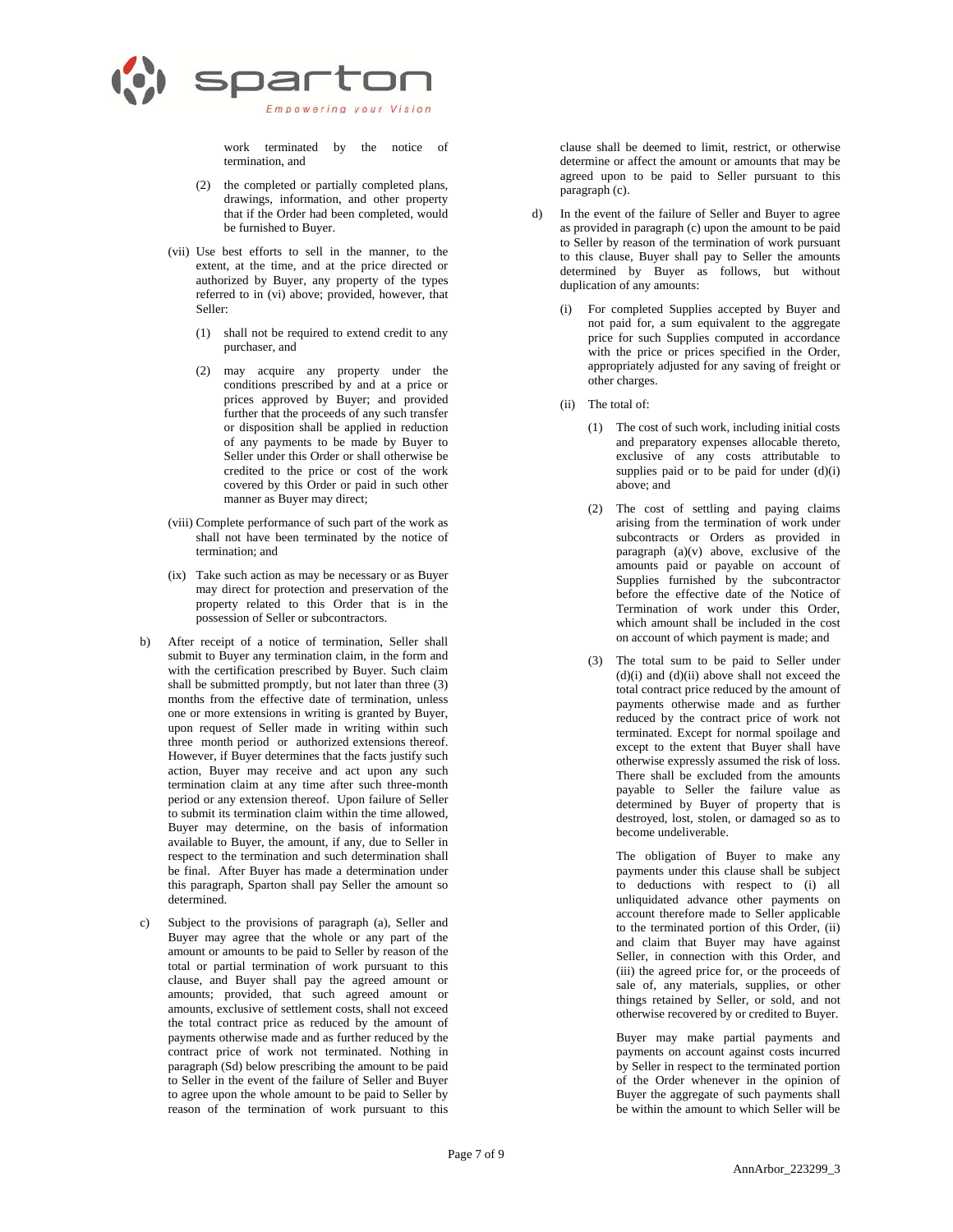

work terminated by the notice of termination, and

- (2) the completed or partially completed plans, drawings, information, and other property that if the Order had been completed, would be furnished to Buyer.
- (vii) Use best efforts to sell in the manner, to the extent, at the time, and at the price directed or authorized by Buyer, any property of the types referred to in (vi) above; provided, however, that Seller:
	- (1) shall not be required to extend credit to any purchaser, and
	- (2) may acquire any property under the conditions prescribed by and at a price or prices approved by Buyer; and provided further that the proceeds of any such transfer or disposition shall be applied in reduction of any payments to be made by Buyer to Seller under this Order or shall otherwise be credited to the price or cost of the work covered by this Order or paid in such other manner as Buyer may direct;
- (viii) Complete performance of such part of the work as shall not have been terminated by the notice of termination; and
- (ix) Take such action as may be necessary or as Buyer may direct for protection and preservation of the property related to this Order that is in the possession of Seller or subcontractors.
- b) After receipt of a notice of termination, Seller shall submit to Buyer any termination claim, in the form and with the certification prescribed by Buyer. Such claim shall be submitted promptly, but not later than three (3) months from the effective date of termination, unless one or more extensions in writing is granted by Buyer, upon request of Seller made in writing within such three month period or authorized extensions thereof. However, if Buyer determines that the facts justify such action, Buyer may receive and act upon any such termination claim at any time after such three-month period or any extension thereof. Upon failure of Seller to submit its termination claim within the time allowed, Buyer may determine, on the basis of information available to Buyer, the amount, if any, due to Seller in respect to the termination and such determination shall be final. After Buyer has made a determination under this paragraph, Sparton shall pay Seller the amount so determined.
- Subject to the provisions of paragraph (a), Seller and Buyer may agree that the whole or any part of the amount or amounts to be paid to Seller by reason of the total or partial termination of work pursuant to this clause, and Buyer shall pay the agreed amount or amounts; provided, that such agreed amount or amounts, exclusive of settlement costs, shall not exceed the total contract price as reduced by the amount of payments otherwise made and as further reduced by the contract price of work not terminated. Nothing in paragraph (Sd) below prescribing the amount to be paid to Seller in the event of the failure of Seller and Buyer to agree upon the whole amount to be paid to Seller by reason of the termination of work pursuant to this

clause shall be deemed to limit, restrict, or otherwise determine or affect the amount or amounts that may be agreed upon to be paid to Seller pursuant to this paragraph (c).

- d) In the event of the failure of Seller and Buyer to agree as provided in paragraph (c) upon the amount to be paid to Seller by reason of the termination of work pursuant to this clause, Buyer shall pay to Seller the amounts determined by Buyer as follows, but without duplication of any amounts:
	- (i) For completed Supplies accepted by Buyer and not paid for, a sum equivalent to the aggregate price for such Supplies computed in accordance with the price or prices specified in the Order, appropriately adjusted for any saving of freight or other charges.
	- (ii) The total of:
		- (1) The cost of such work, including initial costs and preparatory expenses allocable thereto, exclusive of any costs attributable to supplies paid or to be paid for under  $(d)(i)$ above; and
		- (2) The cost of settling and paying claims arising from the termination of work under subcontracts or Orders as provided in paragraph  $(a)(v)$  above, exclusive of the amounts paid or payable on account of Supplies furnished by the subcontractor before the effective date of the Notice of Termination of work under this Order, which amount shall be included in the cost on account of which payment is made; and
		- (3) The total sum to be paid to Seller under  $(d)(i)$  and  $(d)(ii)$  above shall not exceed the total contract price reduced by the amount of payments otherwise made and as further reduced by the contract price of work not terminated. Except for normal spoilage and except to the extent that Buyer shall have otherwise expressly assumed the risk of loss. There shall be excluded from the amounts payable to Seller the failure value as determined by Buyer of property that is destroyed, lost, stolen, or damaged so as to become undeliverable.

The obligation of Buyer to make any payments under this clause shall be subject to deductions with respect to (i) all unliquidated advance other payments on account therefore made to Seller applicable to the terminated portion of this Order, (ii) and claim that Buyer may have against Seller, in connection with this Order, and (iii) the agreed price for, or the proceeds of sale of, any materials, supplies, or other things retained by Seller, or sold, and not otherwise recovered by or credited to Buyer.

Buyer may make partial payments and payments on account against costs incurred by Seller in respect to the terminated portion of the Order whenever in the opinion of Buyer the aggregate of such payments shall be within the amount to which Seller will be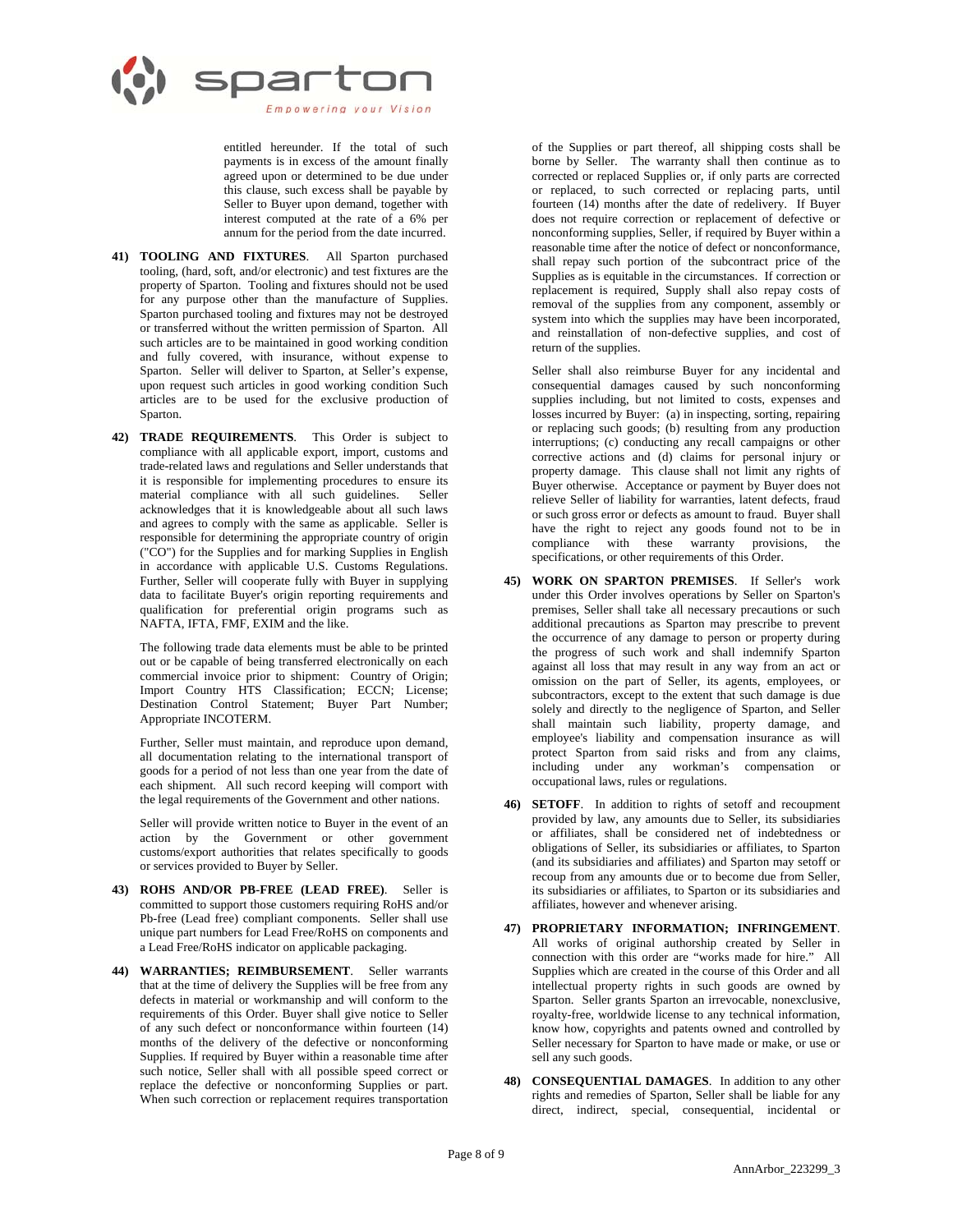

entitled hereunder. If the total of such payments is in excess of the amount finally agreed upon or determined to be due under this clause, such excess shall be payable by Seller to Buyer upon demand, together with interest computed at the rate of a 6% per annum for the period from the date incurred.

- **41) TOOLING AND FIXTURES**. All Sparton purchased tooling, (hard, soft, and/or electronic) and test fixtures are the property of Sparton. Tooling and fixtures should not be used for any purpose other than the manufacture of Supplies. Sparton purchased tooling and fixtures may not be destroyed or transferred without the written permission of Sparton. All such articles are to be maintained in good working condition and fully covered, with insurance, without expense to Sparton. Seller will deliver to Sparton, at Seller's expense, upon request such articles in good working condition Such articles are to be used for the exclusive production of Sparton.
- **42) TRADE REQUIREMENTS**. This Order is subject to compliance with all applicable export, import, customs and trade-related laws and regulations and Seller understands that it is responsible for implementing procedures to ensure its material compliance with all such guidelines. Seller acknowledges that it is knowledgeable about all such laws and agrees to comply with the same as applicable. Seller is responsible for determining the appropriate country of origin ("CO") for the Supplies and for marking Supplies in English in accordance with applicable U.S. Customs Regulations. Further, Seller will cooperate fully with Buyer in supplying data to facilitate Buyer's origin reporting requirements and qualification for preferential origin programs such as NAFTA, IFTA, FMF, EXIM and the like.

The following trade data elements must be able to be printed out or be capable of being transferred electronically on each commercial invoice prior to shipment: Country of Origin; Import Country HTS Classification; ECCN; License; Destination Control Statement; Buyer Part Number; Appropriate INCOTERM.

Further, Seller must maintain, and reproduce upon demand, all documentation relating to the international transport of goods for a period of not less than one year from the date of each shipment. All such record keeping will comport with the legal requirements of the Government and other nations.

Seller will provide written notice to Buyer in the event of an action by the Government or other government customs/export authorities that relates specifically to goods or services provided to Buyer by Seller.

- **43) ROHS AND/OR PB-FREE (LEAD FREE)**. Seller is committed to support those customers requiring RoHS and/or Pb-free (Lead free) compliant components. Seller shall use unique part numbers for Lead Free/RoHS on components and a Lead Free/RoHS indicator on applicable packaging.
- **44) WARRANTIES; REIMBURSEMENT**. Seller warrants that at the time of delivery the Supplies will be free from any defects in material or workmanship and will conform to the requirements of this Order. Buyer shall give notice to Seller of any such defect or nonconformance within fourteen (14) months of the delivery of the defective or nonconforming Supplies. If required by Buyer within a reasonable time after such notice, Seller shall with all possible speed correct or replace the defective or nonconforming Supplies or part. When such correction or replacement requires transportation

of the Supplies or part thereof, all shipping costs shall be borne by Seller. The warranty shall then continue as to corrected or replaced Supplies or, if only parts are corrected or replaced, to such corrected or replacing parts, until fourteen (14) months after the date of redelivery. If Buyer does not require correction or replacement of defective or nonconforming supplies, Seller, if required by Buyer within a reasonable time after the notice of defect or nonconformance, shall repay such portion of the subcontract price of the Supplies as is equitable in the circumstances. If correction or replacement is required, Supply shall also repay costs of removal of the supplies from any component, assembly or system into which the supplies may have been incorporated, and reinstallation of non-defective supplies, and cost of return of the supplies.

Seller shall also reimburse Buyer for any incidental and consequential damages caused by such nonconforming supplies including, but not limited to costs, expenses and losses incurred by Buyer: (a) in inspecting, sorting, repairing or replacing such goods; (b) resulting from any production interruptions; (c) conducting any recall campaigns or other corrective actions and (d) claims for personal injury or property damage. This clause shall not limit any rights of Buyer otherwise. Acceptance or payment by Buyer does not relieve Seller of liability for warranties, latent defects, fraud or such gross error or defects as amount to fraud. Buyer shall have the right to reject any goods found not to be in compliance with these warranty provisions, the specifications, or other requirements of this Order.

- **45) WORK ON SPARTON PREMISES**. If Seller's work under this Order involves operations by Seller on Sparton's premises, Seller shall take all necessary precautions or such additional precautions as Sparton may prescribe to prevent the occurrence of any damage to person or property during the progress of such work and shall indemnify Sparton against all loss that may result in any way from an act or omission on the part of Seller, its agents, employees, or subcontractors, except to the extent that such damage is due solely and directly to the negligence of Sparton, and Seller shall maintain such liability, property damage, and employee's liability and compensation insurance as will protect Sparton from said risks and from any claims, including under any workman's compensation or occupational laws, rules or regulations.
- **46) SETOFF**. In addition to rights of setoff and recoupment provided by law, any amounts due to Seller, its subsidiaries or affiliates, shall be considered net of indebtedness or obligations of Seller, its subsidiaries or affiliates, to Sparton (and its subsidiaries and affiliates) and Sparton may setoff or recoup from any amounts due or to become due from Seller, its subsidiaries or affiliates, to Sparton or its subsidiaries and affiliates, however and whenever arising.
- **47) PROPRIETARY INFORMATION; INFRINGEMENT**. All works of original authorship created by Seller in connection with this order are "works made for hire." All Supplies which are created in the course of this Order and all intellectual property rights in such goods are owned by Sparton. Seller grants Sparton an irrevocable, nonexclusive, royalty-free, worldwide license to any technical information, know how, copyrights and patents owned and controlled by Seller necessary for Sparton to have made or make, or use or sell any such goods.
- **48) CONSEQUENTIAL DAMAGES**. In addition to any other rights and remedies of Sparton, Seller shall be liable for any direct, indirect, special, consequential, incidental or